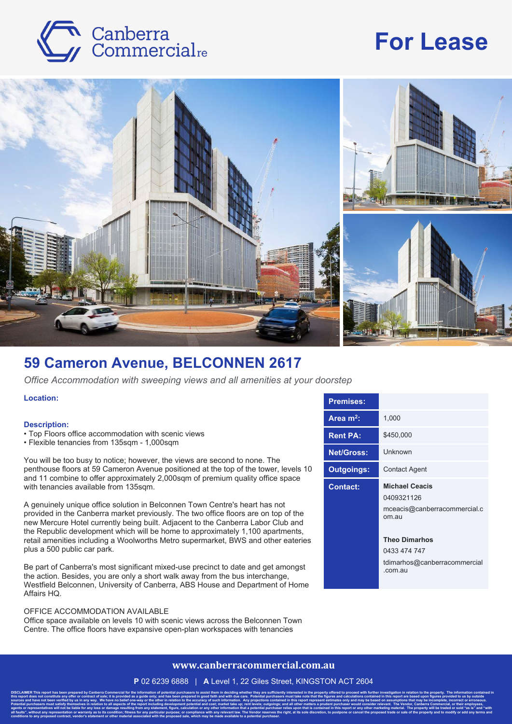# Canberra<br>Commercialre

## **For Lease**



### **59 Cameron Avenue, BELCONNEN 2617**

*Office Accommodation with sweeping views and all amenities at your doorstep*

**Location:**

#### **Description:**

- Top Floors office accommodation with scenic views
- Flexible tenancies from 135sqm 1,000sqm

You will be too busy to notice; however, the views are second to none. The penthouse floors at 59 Cameron Avenue positioned at the top of the tower, levels 10 and 11 combine to offer approximately 2,000sqm of premium quality office space with tenancies available from 135sqm.

A genuinely unique office solution in Belconnen Town Centre's heart has not provided in the Canberra market previously. The two office floors are on top of the new Mercure Hotel currently being built. Adjacent to the Canberra Labor Club and the Republic development which will be home to approximately 1,100 apartments, retail amenities including a Woolworths Metro supermarket, BWS and other eateries plus a 500 public car park.

Be part of Canberra's most significant mixed-use precinct to date and get amongst the action. Besides, you are only a short walk away from the bus interchange, Westfield Belconnen, University of Canberra, ABS House and Department of Home Affairs HQ.

#### OFFICE ACCOMMODATION AVAILABLE

Office space available on levels 10 with scenic views across the Belconnen Town Centre. The office floors have expansive open-plan workspaces with tenancies

**conditions to any proposed contract, vendor's statement or other material associated with the proposed sale, which may be made available to a potential purchaser.**

| 1,000                                                                           |
|---------------------------------------------------------------------------------|
| \$450,000                                                                       |
| Unknown                                                                         |
| <b>Contact Agent</b>                                                            |
| <b>Michael Ceacis</b><br>0409321126<br>mceacis@canberracommercial.c<br>$om$ au  |
| <b>Theo Dimarhos</b><br>0433 474 747<br>tdimarhos@canberracommercial<br>.com.au |
|                                                                                 |

#### **www.canberracommercial.com.au**

**P** 02 6239 6888 | **A** Level 1, 22 Giles Street, KINGSTON ACT 2604

DISCLAIMER This report has been prepared by Canberra Commercial for the information of potential purchasers to assist them in deciding whether they are sufficiently interested in the property offered to proceed with furthe this report does not constitute any offer or contract of sale; it is provided as a guide only; and has been prepared in good faith and with due care. Potential purchasers must take note that the figures and calculations co sources and have not been verified by us in any way. We have no belief one-way or the other in relation to the accuracy of such information. Any projections contained in this report represent estimates only and may be base Potential purchasers must satisfy themselves in relation to all aspects of the report including development potential and cost; market take up; rent levels; outgoings; and all other matters a prudent purchaser would consid agents or representatives will not be liable for any loss or damage resulting from any statement, figure, calculation or any other information that a potential purchaser relies upon that is contained in this report or any all faults", without any representation or warranty as to its condition; fitness for any particular purpose; or compliance with any relevant law. The Vendor reserves the right, at its sole discretion, to postpone or cancel